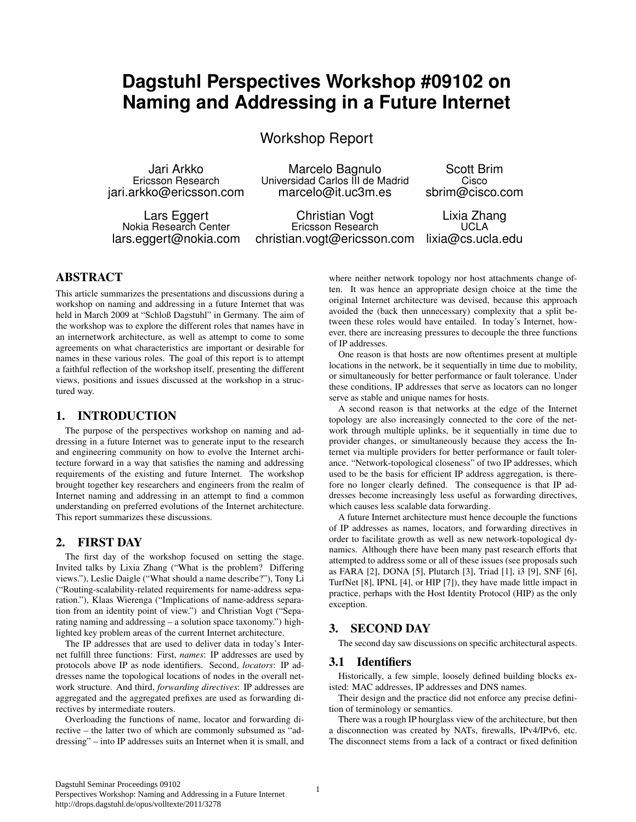# **Dagstuhl Perspectives Workshop #09102 on Naming and Addressing in a Future Internet**

Workshop Report

Jari Arkko Marcelo Bagnulo Scott Brim Universidad Carlos III de Madrid jari.arkko@ericsson.com marcelo@it.uc3m.es sbrim@cisco.com

Lars Eggert Christian Vogt Lixia Zhang Nokia Research Center<br>lars.eggert@nokia.com christian.vogt@ericsson.com lixia@cs.ucla.edu christian.vogt@ericsson.com

where neither network topology nor host attachments change of-

ABSTRACT

This article summarizes the presentations and discussions during a workshop on naming and addressing in a future Internet that was held in March 2009 at "Schloß Dagstuhl" in Germany. The aim of the workshop was to explore the different roles that names have in an internetwork architecture, as well as attempt to come to some agreements on what characteristics are important or desirable for names in these various roles. The goal of this report is to attempt a faithful reflection of the workshop itself, presenting the different views, positions and issues discussed at the workshop in a structured way.

### 1. INTRODUCTION

The purpose of the perspectives workshop on naming and addressing in a future Internet was to generate input to the research and engineering community on how to evolve the Internet architecture forward in a way that satisfies the naming and addressing requirements of the existing and future Internet. The workshop brought together key researchers and engineers from the realm of Internet naming and addressing in an attempt to find a common understanding on preferred evolutions of the Internet architecture. This report summarizes these discussions.

# 2. FIRST DAY

The first day of the workshop focused on setting the stage. Invited talks by Lixia Zhang ("What is the problem? Differing views."), Leslie Daigle ("What should a name describe?"), Tony Li ("Routing-scalability-related requirements for name-address separation."), Klaas Wierenga ("Implications of name-address separation from an identity point of view.") and Christian Vogt ("Separating naming and addressing – a solution space taxonomy.") highlighted key problem areas of the current Internet architecture.

The IP addresses that are used to deliver data in today's Internet fulfill three functions: First, *names*: IP addresses are used by protocols above IP as node identifiers. Second, *locators*: IP addresses name the topological locations of nodes in the overall network structure. And third, *forwarding directives*: IP addresses are aggregated and the aggregated prefixes are used as forwarding directives by intermediate routers.

Overloading the functions of name, locator and forwarding directive – the latter two of which are commonly subsumed as "addressing" – into IP addresses suits an Internet when it is small, and ten. It was hence an appropriate design choice at the time the original Internet architecture was devised, because this approach avoided the (back then unnecessary) complexity that a split between these roles would have entailed. In today's Internet, however, there are increasing pressures to decouple the three functions of IP addresses.

One reason is that hosts are now oftentimes present at multiple locations in the network, be it sequentially in time due to mobility, or simultaneously for better performance or fault tolerance. Under these conditions, IP addresses that serve as locators can no longer serve as stable and unique names for hosts.

A second reason is that networks at the edge of the Internet topology are also increasingly connected to the core of the network through multiple uplinks, be it sequentially in time due to provider changes, or simultaneously because they access the Internet via multiple providers for better performance or fault tolerance. "Network-topological closeness" of two IP addresses, which used to be the basis for efficient IP address aggregation, is therefore no longer clearly defined. The consequence is that IP addresses become increasingly less useful as forwarding directives, which causes less scalable data forwarding.

A future Internet architecture must hence decouple the functions of IP addresses as names, locators, and forwarding directives in order to facilitate growth as well as new network-topological dynamics. Although there have been many past research efforts that attempted to address some or all of these issues (see proposals such as FARA [2], DONA [5], Plutarch [3], Triad [1], i3 [9], SNF [6], TurfNet [8], IPNL [4], or HIP [7]), they have made little impact in practice, perhaps with the Host Identity Protocol (HIP) as the only exception.

# 3. SECOND DAY

The second day saw discussions on specific architectural aspects.

# 3.1 Identifiers

Historically, a few simple, loosely defined building blocks existed: MAC addresses, IP addresses and DNS names.

Their design and the practice did not enforce any precise definition of terminology or semantics.

There was a rough IP hourglass view of the architecture, but then a disconnection was created by NATs, firewalls, IPv4/IPv6, etc. The disconnect stems from a lack of a contract or fixed definition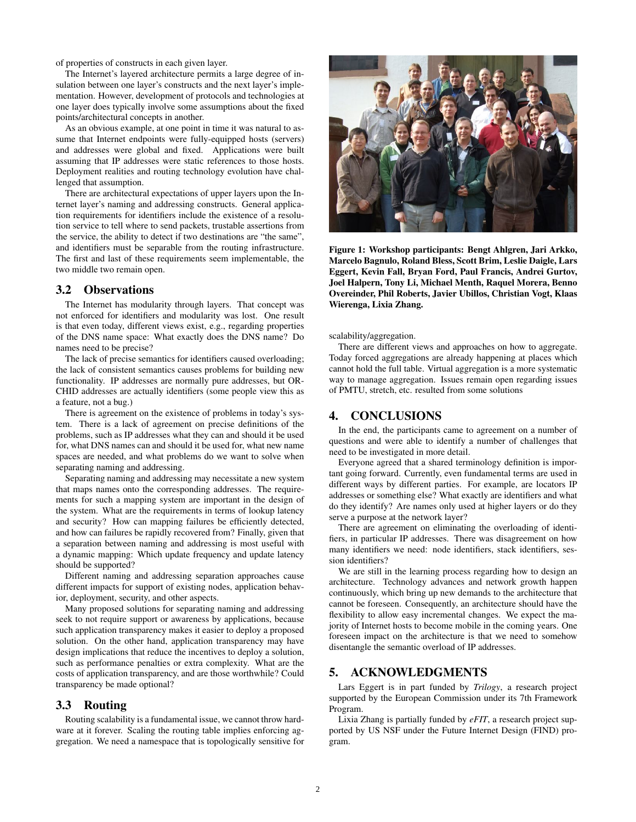of properties of constructs in each given layer.

The Internet's layered architecture permits a large degree of insulation between one layer's constructs and the next layer's implementation. However, development of protocols and technologies at one layer does typically involve some assumptions about the fixed points/architectural concepts in another.

As an obvious example, at one point in time it was natural to assume that Internet endpoints were fully-equipped hosts (servers) and addresses were global and fixed. Applications were built assuming that IP addresses were static references to those hosts. Deployment realities and routing technology evolution have challenged that assumption.

There are architectural expectations of upper layers upon the Internet layer's naming and addressing constructs. General application requirements for identifiers include the existence of a resolution service to tell where to send packets, trustable assertions from the service, the ability to detect if two destinations are "the same", and identifiers must be separable from the routing infrastructure. The first and last of these requirements seem implementable, the two middle two remain open.

#### 3.2 Observations

The Internet has modularity through layers. That concept was not enforced for identifiers and modularity was lost. One result is that even today, different views exist, e.g., regarding properties of the DNS name space: What exactly does the DNS name? Do names need to be precise?

The lack of precise semantics for identifiers caused overloading; the lack of consistent semantics causes problems for building new functionality. IP addresses are normally pure addresses, but OR-CHID addresses are actually identifiers (some people view this as a feature, not a bug.)

There is agreement on the existence of problems in today's system. There is a lack of agreement on precise definitions of the problems, such as IP addresses what they can and should it be used for, what DNS names can and should it be used for, what new name spaces are needed, and what problems do we want to solve when separating naming and addressing.

Separating naming and addressing may necessitate a new system that maps names onto the corresponding addresses. The requirements for such a mapping system are important in the design of the system. What are the requirements in terms of lookup latency and security? How can mapping failures be efficiently detected, and how can failures be rapidly recovered from? Finally, given that a separation between naming and addressing is most useful with a dynamic mapping: Which update frequency and update latency should be supported?

Different naming and addressing separation approaches cause different impacts for support of existing nodes, application behavior, deployment, security, and other aspects.

Many proposed solutions for separating naming and addressing seek to not require support or awareness by applications, because such application transparency makes it easier to deploy a proposed solution. On the other hand, application transparency may have design implications that reduce the incentives to deploy a solution, such as performance penalties or extra complexity. What are the costs of application transparency, and are those worthwhile? Could transparency be made optional?

#### 3.3 Routing

Routing scalability is a fundamental issue, we cannot throw hardware at it forever. Scaling the routing table implies enforcing aggregation. We need a namespace that is topologically sensitive for



Figure 1: Workshop participants: Bengt Ahlgren, Jari Arkko, Marcelo Bagnulo, Roland Bless, Scott Brim, Leslie Daigle, Lars Eggert, Kevin Fall, Bryan Ford, Paul Francis, Andrei Gurtov, Joel Halpern, Tony Li, Michael Menth, Raquel Morera, Benno Overeinder, Phil Roberts, Javier Ubillos, Christian Vogt, Klaas Wierenga, Lixia Zhang.

scalability/aggregation.

There are different views and approaches on how to aggregate. Today forced aggregations are already happening at places which cannot hold the full table. Virtual aggregation is a more systematic way to manage aggregation. Issues remain open regarding issues of PMTU, stretch, etc. resulted from some solutions

## 4. CONCLUSIONS

In the end, the participants came to agreement on a number of questions and were able to identify a number of challenges that need to be investigated in more detail.

Everyone agreed that a shared terminology definition is important going forward. Currently, even fundamental terms are used in different ways by different parties. For example, are locators IP addresses or something else? What exactly are identifiers and what do they identify? Are names only used at higher layers or do they serve a purpose at the network layer?

There are agreement on eliminating the overloading of identifiers, in particular IP addresses. There was disagreement on how many identifiers we need: node identifiers, stack identifiers, session identifiers?

We are still in the learning process regarding how to design an architecture. Technology advances and network growth happen continuously, which bring up new demands to the architecture that cannot be foreseen. Consequently, an architecture should have the flexibility to allow easy incremental changes. We expect the majority of Internet hosts to become mobile in the coming years. One foreseen impact on the architecture is that we need to somehow disentangle the semantic overload of IP addresses.

#### 5. ACKNOWLEDGMENTS

Lars Eggert is in part funded by *Trilogy*, a research project supported by the European Commission under its 7th Framework Program.

Lixia Zhang is partially funded by *eFIT*, a research project supported by US NSF under the Future Internet Design (FIND) program.